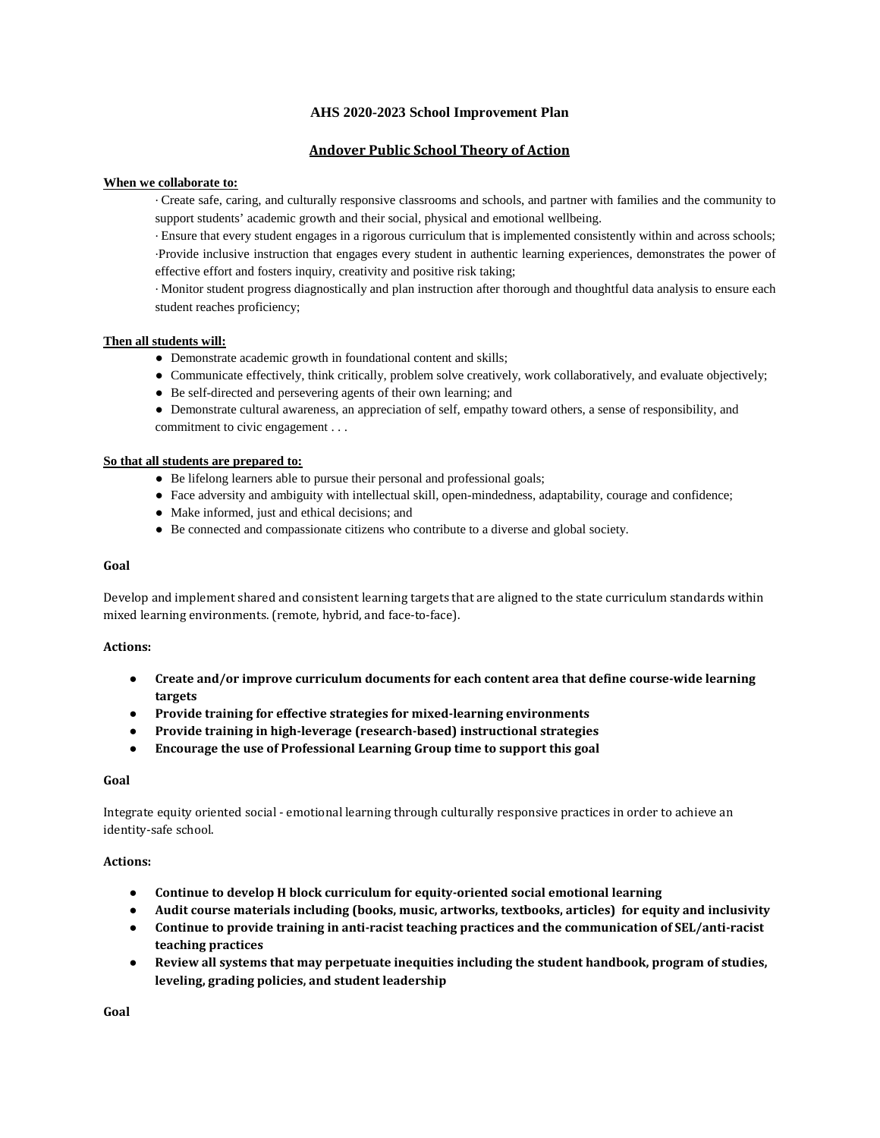## **AHS 2020-2023 School Improvement Plan**

# **Andover Public School Theory of Action**

## **When we collaborate to:**

· Create safe, caring, and culturally responsive classrooms and schools, and partner with families and the community to support students' academic growth and their social, physical and emotional wellbeing.

· Ensure that every student engages in a rigorous curriculum that is implemented consistently within and across schools; ·Provide inclusive instruction that engages every student in authentic learning experiences, demonstrates the power of effective effort and fosters inquiry, creativity and positive risk taking;

· Monitor student progress diagnostically and plan instruction after thorough and thoughtful data analysis to ensure each student reaches proficiency;

## **Then all students will:**

- Demonstrate academic growth in foundational content and skills;
- Communicate effectively, think critically, problem solve creatively, work collaboratively, and evaluate objectively;
- Be self-directed and persevering agents of their own learning; and

● Demonstrate cultural awareness, an appreciation of self, empathy toward others, a sense of responsibility, and commitment to civic engagement . . .

#### **So that all students are prepared to:**

- Be lifelong learners able to pursue their personal and professional goals;
- Face adversity and ambiguity with intellectual skill, open-mindedness, adaptability, courage and confidence;
- Make informed, just and ethical decisions; and
- Be connected and compassionate citizens who contribute to a diverse and global society.

#### **Goal**

Develop and implement shared and consistent learning targets that are aligned to the state curriculum standards within mixed learning environments. (remote, hybrid, and face-to-face).

## **Actions:**

- **Create and/or improve curriculum documents for each content area that define course-wide learning targets**
- **Provide training for effective strategies for mixed-learning environments**
- **Provide training in high-leverage (research-based) instructional strategies**
- **Encourage the use of Professional Learning Group time to support this goal**

#### **Goal**

Integrate equity oriented social - emotional learning through culturally responsive practices in order to achieve an identity-safe school.

#### **Actions:**

- **Continue to develop H block curriculum for equity-oriented social emotional learning**
- **Audit course materials including (books, music, artworks, textbooks, articles) for equity and inclusivity**
- **Continue to provide training in anti-racist teaching practices and the communication of SEL/anti-racist teaching practices**
- **Review all systems that may perpetuate inequities including the student handbook, program of studies, leveling, grading policies, and student leadership**

**Goal**